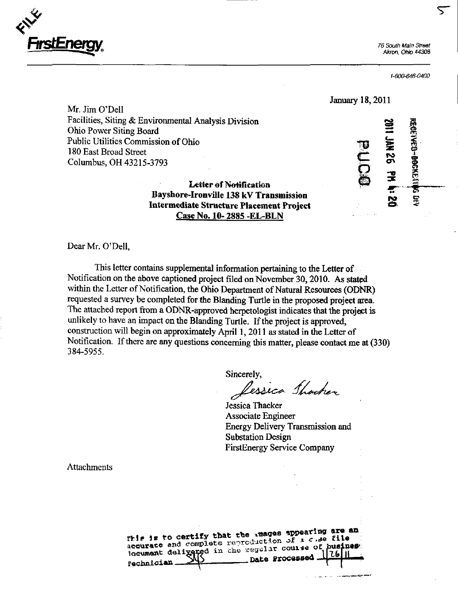

Akron. Ohio 44308

<u>r </u>

January 18,2011

1-800-646-0400

**BECKELLING** 

Mr. Jim O'Dell Facilities, Siting & Environmental Analysis Division \_ Ohio Power Siting Board<br>
Public Utilities Commission of Ohio<br>
180 East Broad Street<br>
Columbus, OH 43215-3793<br>
Letter of Notification<br>
Bayrham Hangell, 130 LY Thur and Letter Public Utilities Commission of Ohio 180 East Broad Street Columbus, OH 43215-3793

Letter of Notification Bayshore-Ironville 138 kV Transmission  $\mathbf{S} = \mathbf{S}$ Intermediate Structure Placement Project Case No. 10- 2885 -EL-BLN

Dear Mr. O'Dell,

This letter contains supplemental information pertaining to the Letter of Notification on the above captioned project filed on November 30, 2010. As stated within the Letter of Notification, the Ohio Department of Natural Resources (ODNR) requested a survey be completed for the Blanding Turtle in the proposed project area. The attached report from a ODNR-approved herpetologist indicates that the project is unlikely to have an impact on the Blanding Turtle. If the project is approved, construction will begin on approximately April 1,2011 as stated in the Letter of Notification. If there are any questions concerning this matter, please contact me at (330) 384-5955.

Sincerely,<br>Lessica Shacher

Jessica Thacker Associate Engineer Energy Delivery Transmission and Substation Design FirstEnergy Service Company

فعجمه والمحاربين

**Attachments** 

| This is to certify that the images appearing are an<br>acqurate and complete reproduction of a chee file. |  |
|-----------------------------------------------------------------------------------------------------------|--|
| locument delivered in the regular course of business                                                      |  |
|                                                                                                           |  |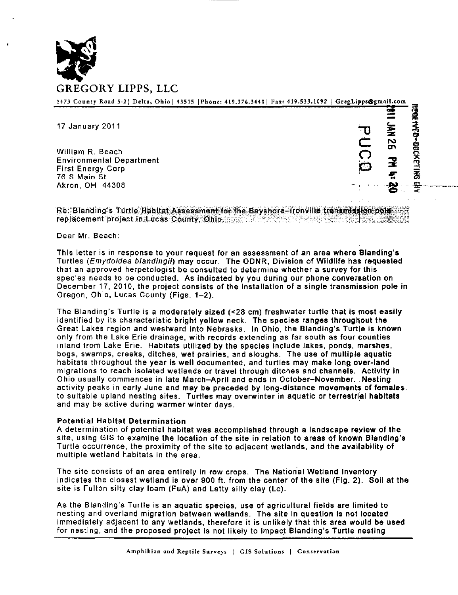

| 1473 County Road 5-2  Delta, Ohio  43515  Phone: 419.376.3441  Fax: 419.533.1092   GregLipps@gmail.com |     |              |
|--------------------------------------------------------------------------------------------------------|-----|--------------|
| 17 January 2011                                                                                        |     | Ě            |
| William R. Beach.                                                                                      |     | 5X<br>13X308 |
| <b>Environmental Department</b><br>First Energy Corp                                                   | まち物 | 곷            |
| 76 S Main St.<br>Akron, OH 44308                                                                       |     |              |

Re: Blanding's Turtle Habitat Assessment for the Bayshore-Ironville transmission pole replacement project in Lucas County, Ohio. j

Dear Mr. Beach:

This letter is in response to your request for an assessment of an area where Blanding's Turtles {Emydoidea blandingii) may occur. The ODNR, Division of Wildlife has requested that an approved herpetologist be consulted to determine whether a survey for this species needs to be conducted. As indicated by you during our phone conversation on December 17, 2010, the project consists of the installation of a single transmission pole in Oregon, Ohio, Lucas County (Figs. 1-2).

The Blanding's Turtle is a moderately sized (<28 cm) freshwater turtle that is most easily identified by its characteristic bright yellow neck. The species ranges throughout the Great Lakes region and westward into Nebraska. In Ohio, the Blanding's Turtle is known only from the Lake Erie drainage, with records extending as far south as four counties inland from Lake Erie. Habitats utilized by the species include lakes, ponds, marshes, bogs, swamps, creeks, ditches, wet prairies, and sloughs. The use of multiple aquatic habitats throughout the year is well documented, and turtles may make long over-land migrations to reach isolated wetlands or travel through ditches and channels. Activity in Ohio usually commences in late March-April and ends in October-November. Nesting activity peaks in early June and may be preceded by long-distance movements of females. to suitable upland nesting sites. Turtles may overwinter in aquatic or terrestrial habitats and may be active during warmer winter days.

## Potential Habitat Determination

A determination of potential habitat was accomplished through a landscape review of the site, using GIS to examine the location of the site in relation to areas of known Blanding's Turtle occurrence, the proximity of the site to adjacent wetlands, and the availability of multiple wetland habitats in the area.

The site consists of an area entirely in row crops. The National Wetland Inventory indicates the closest wetland is over 900 ft. from the center of the site (Fig. 2). Soil at the site is Fulton silty clay loam (FuA) and Latty silty clay (Lc).

As the Blanding's Turtle is an aquatic species, use of agricultural fields are limited to nesting and overland migration between wetlands. The site in question is not located immediately adjacent to any wetlands, therefore it is unlikely that this area would be used for nesting, and the proposed project is not likely to impact Blanding's Turtle nesting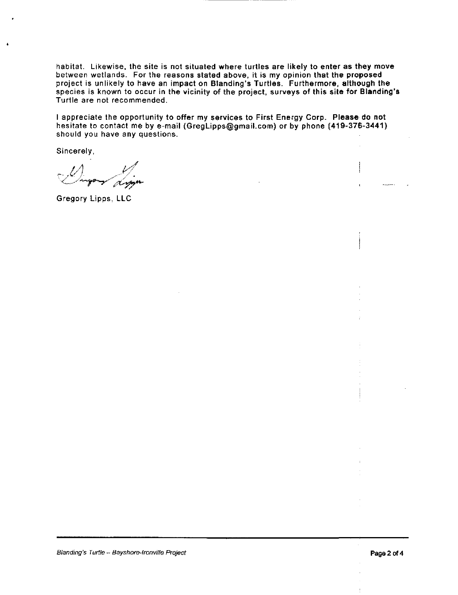habitat. Likewise, the site is not situated where turtles are likely to enter as they move between wetlands. For the reasons stated above, it is my opinion that the proposed project is unlikely to have an impact on Blanding's Turtles. Furthermore, although the species is known to occur in the vicinity of the project, surveys of this site for Blanding's Turtle are not recommended.

I appreciate the opportunity to offer my services to First Energy Corp. Please do not hesitate to contact me by e-mail ([GregLipps@gmail.com\)](mailto:GregLipps@gmail.com) or by phone (419-376-3441) should you have any questions.

Sincerely,

 $\nu$  is a  $\nu$  $\prec$ 

Gregory Lipps, LLC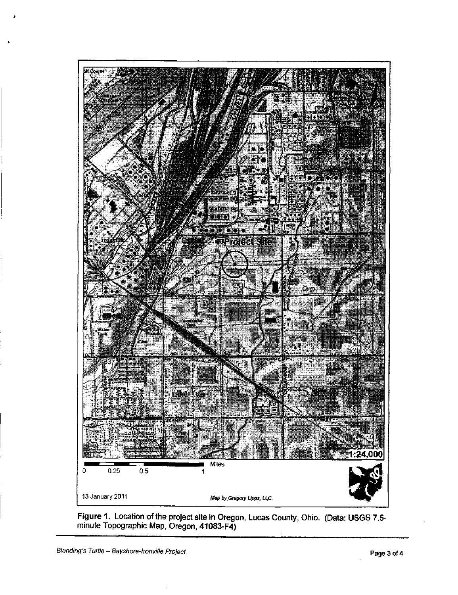

Figure 1. Location of the project site in Oregon, Lucas County, Ohio. (Data: USGS 7.5 minute Topographic Map, Oregon, 41083-F4)